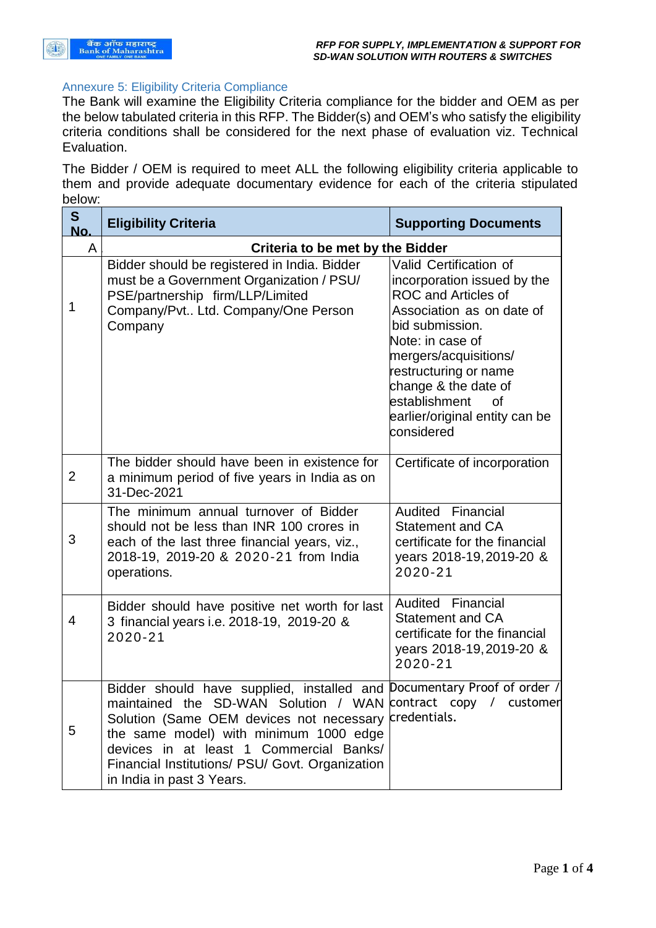

## Annexure 5: Eligibility Criteria Compliance

The Bank will examine the Eligibility Criteria compliance for the bidder and OEM as per the below tabulated criteria in this RFP. The Bidder(s) and OEM's who satisfy the eligibility criteria conditions shall be considered for the next phase of evaluation viz. Technical Evaluation.

The Bidder / OEM is required to meet ALL the following eligibility criteria applicable to them and provide adequate documentary evidence for each of the criteria stipulated below:

| S<br>No.       | <b>Eligibility Criteria</b>                                                                                                                                                                                                                                                                                                                                            | <b>Supporting Documents</b>                                                                                                                                                                                                                                                                              |  |
|----------------|------------------------------------------------------------------------------------------------------------------------------------------------------------------------------------------------------------------------------------------------------------------------------------------------------------------------------------------------------------------------|----------------------------------------------------------------------------------------------------------------------------------------------------------------------------------------------------------------------------------------------------------------------------------------------------------|--|
| A              | <b>Criteria to be met by the Bidder</b>                                                                                                                                                                                                                                                                                                                                |                                                                                                                                                                                                                                                                                                          |  |
| 1              | Bidder should be registered in India. Bidder<br>must be a Government Organization / PSU/<br>PSE/partnership firm/LLP/Limited<br>Company/Pvt Ltd. Company/One Person<br>Company                                                                                                                                                                                         | Valid Certification of<br>incorporation issued by the<br><b>ROC and Articles of</b><br>Association as on date of<br>bid submission.<br>Note: in case of<br>mergers/acquisitions/<br>restructuring or name<br>change & the date of<br>establishment<br>Ωf<br>earlier/original entity can be<br>considered |  |
| $\overline{2}$ | The bidder should have been in existence for<br>a minimum period of five years in India as on<br>31-Dec-2021                                                                                                                                                                                                                                                           | Certificate of incorporation                                                                                                                                                                                                                                                                             |  |
| 3              | The minimum annual turnover of Bidder<br>should not be less than INR 100 crores in<br>each of the last three financial years, viz.,<br>2018-19, 2019-20 & 2020-21 from India<br>operations.                                                                                                                                                                            | Audited Financial<br><b>Statement and CA</b><br>certificate for the financial<br>years 2018-19, 2019-20 &<br>2020-21                                                                                                                                                                                     |  |
| 4              | Bidder should have positive net worth for last<br>3 financial years i.e. 2018-19, 2019-20 &<br>2020-21                                                                                                                                                                                                                                                                 | Audited Financial<br><b>Statement and CA</b><br>certificate for the financial<br>years 2018-19, 2019-20 &<br>2020-21                                                                                                                                                                                     |  |
| 5              | Bidder should have supplied, installed and Documentary Proof of order /<br>maintained the SD-WAN Solution / WAN contract copy / customer<br>Solution (Same OEM devices not necessary credentials.<br>the same model) with minimum 1000 edge<br>devices in at least 1 Commercial Banks/<br>Financial Institutions/ PSU/ Govt. Organization<br>in India in past 3 Years. |                                                                                                                                                                                                                                                                                                          |  |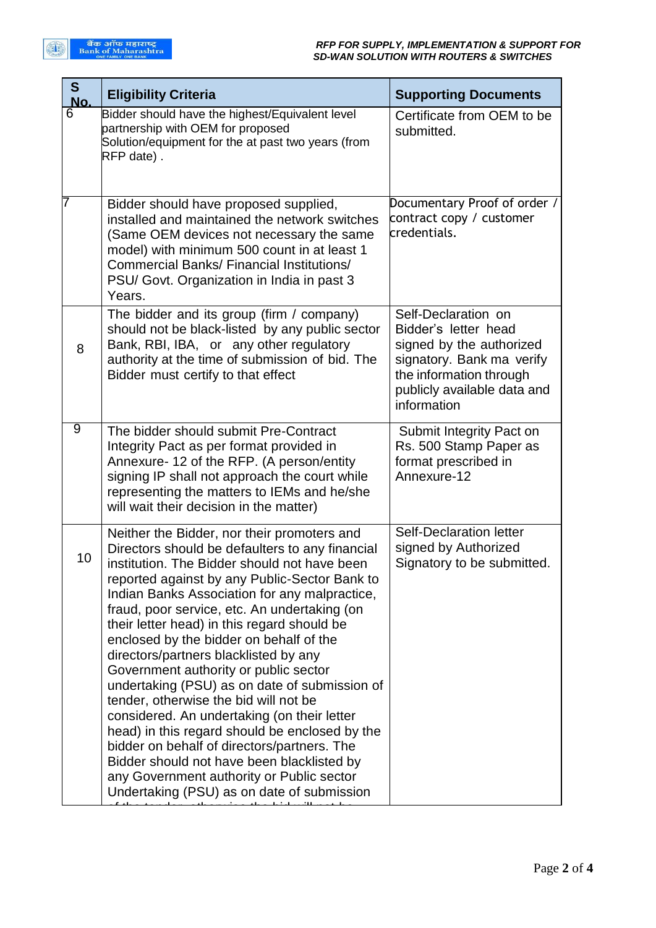| S<br>No.       | <b>Eligibility Criteria</b>                                                                                                                                                                                                                                                                                                                                                                                                                                                                                                                                                                                                                                                                                                                                                                                                                                     | <b>Supporting Documents</b>                                                                                                                                                   |
|----------------|-----------------------------------------------------------------------------------------------------------------------------------------------------------------------------------------------------------------------------------------------------------------------------------------------------------------------------------------------------------------------------------------------------------------------------------------------------------------------------------------------------------------------------------------------------------------------------------------------------------------------------------------------------------------------------------------------------------------------------------------------------------------------------------------------------------------------------------------------------------------|-------------------------------------------------------------------------------------------------------------------------------------------------------------------------------|
| 6              | Bidder should have the highest/Equivalent level<br>partnership with OEM for proposed<br>Solution/equipment for the at past two years (from<br>RFP date).                                                                                                                                                                                                                                                                                                                                                                                                                                                                                                                                                                                                                                                                                                        | Certificate from OEM to be<br>submitted.                                                                                                                                      |
| 7              | Bidder should have proposed supplied,<br>installed and maintained the network switches<br>(Same OEM devices not necessary the same<br>model) with minimum 500 count in at least 1<br>Commercial Banks/ Financial Institutions/<br>PSU/ Govt. Organization in India in past 3<br>Years.                                                                                                                                                                                                                                                                                                                                                                                                                                                                                                                                                                          | Documentary Proof of order /<br>contract copy / customer<br>credentials.                                                                                                      |
| 8              | The bidder and its group (firm / company)<br>should not be black-listed by any public sector<br>Bank, RBI, IBA, or any other regulatory<br>authority at the time of submission of bid. The<br>Bidder must certify to that effect                                                                                                                                                                                                                                                                                                                                                                                                                                                                                                                                                                                                                                | Self-Declaration on<br>Bidder's letter head<br>signed by the authorized<br>signatory. Bank ma verify<br>the information through<br>publicly available data and<br>information |
| $\overline{9}$ | The bidder should submit Pre-Contract<br>Integrity Pact as per format provided in<br>Annexure- 12 of the RFP. (A person/entity<br>signing IP shall not approach the court while<br>representing the matters to IEMs and he/she<br>will wait their decision in the matter)                                                                                                                                                                                                                                                                                                                                                                                                                                                                                                                                                                                       | Submit Integrity Pact on<br>Rs. 500 Stamp Paper as<br>format prescribed in<br>Annexure-12                                                                                     |
| 10             | Neither the Bidder, nor their promoters and<br>Directors should be defaulters to any financial<br>institution. The Bidder should not have been<br>reported against by any Public-Sector Bank to<br>Indian Banks Association for any malpractice,<br>fraud, poor service, etc. An undertaking (on<br>their letter head) in this regard should be<br>enclosed by the bidder on behalf of the<br>directors/partners blacklisted by any<br>Government authority or public sector<br>undertaking (PSU) as on date of submission of<br>tender, otherwise the bid will not be<br>considered. An undertaking (on their letter<br>head) in this regard should be enclosed by the<br>bidder on behalf of directors/partners. The<br>Bidder should not have been blacklisted by<br>any Government authority or Public sector<br>Undertaking (PSU) as on date of submission | <b>Self-Declaration letter</b><br>signed by Authorized<br>Signatory to be submitted.                                                                                          |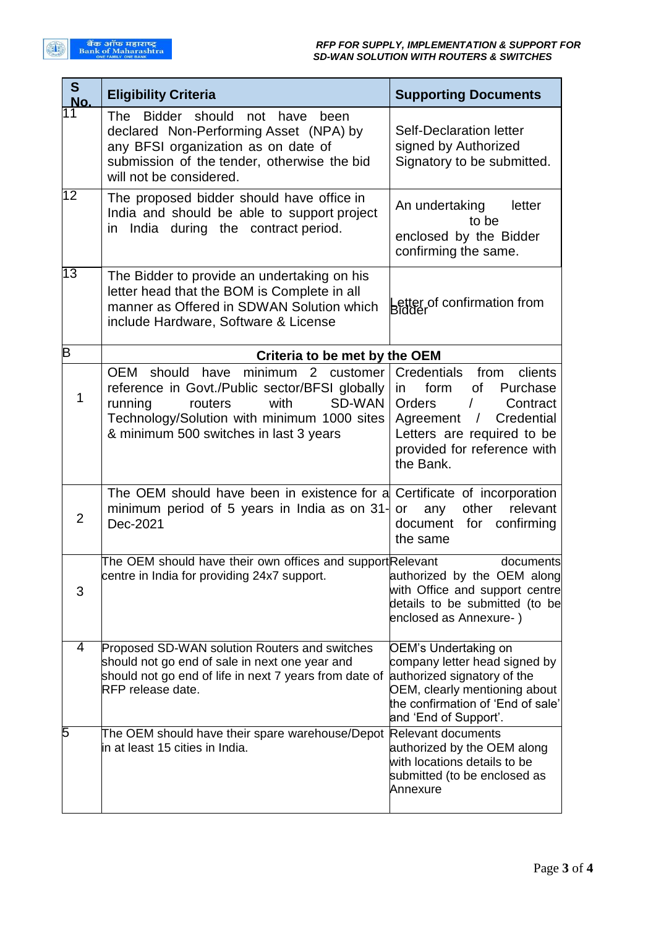| S<br>No.        | <b>Eligibility Criteria</b>                                                                                                                                                                                                     | <b>Supporting Documents</b>                                                                                                                                                                                           |
|-----------------|---------------------------------------------------------------------------------------------------------------------------------------------------------------------------------------------------------------------------------|-----------------------------------------------------------------------------------------------------------------------------------------------------------------------------------------------------------------------|
| 11              | The Bidder should<br>not<br>have<br>been<br>declared Non-Performing Asset (NPA) by<br>any BFSI organization as on date of<br>submission of the tender, otherwise the bid<br>will not be considered.                             | <b>Self-Declaration letter</b><br>signed by Authorized<br>Signatory to be submitted.                                                                                                                                  |
| $\overline{12}$ | The proposed bidder should have office in<br>India and should be able to support project<br>in India during the contract period.                                                                                                | An undertaking<br>letter<br>to be<br>enclosed by the Bidder<br>confirming the same.                                                                                                                                   |
| $\overline{13}$ | The Bidder to provide an undertaking on his<br>letter head that the BOM is Complete in all<br>manner as Offered in SDWAN Solution which<br>include Hardware, Software & License                                                 | Letter of confirmation from<br>Bidder                                                                                                                                                                                 |
| B               | Criteria to be met by the OEM                                                                                                                                                                                                   |                                                                                                                                                                                                                       |
| 1               | <b>OEM</b><br>should have minimum 2 customer<br>reference in Govt./Public sector/BFSI globally<br>with<br>SD-WAN<br>running<br>routers<br>Technology/Solution with minimum 1000 sites<br>& minimum 500 switches in last 3 years | <b>Credentials</b><br>from<br>clients<br>of<br>Purchase<br>form<br>in<br><b>Orders</b><br>Contract<br>Credential<br>Agreement<br>$\sqrt{2}$<br>Letters are required to be<br>provided for reference with<br>the Bank. |
| $\overline{2}$  | The OEM should have been in existence for a Certificate of incorporation<br>minimum period of 5 years in India as on 31-<br>Dec-2021                                                                                            | other<br>relevant<br>any<br>or<br>document<br>for<br>confirming<br>the same                                                                                                                                           |
| 3               | The OEM should have their own offices and support Relevant<br>centre in India for providing 24x7 support.                                                                                                                       | documents<br>authorized by the OEM along<br>with Office and support centre<br>details to be submitted (to be<br>enclosed as Annexure-)                                                                                |
| 4               | Proposed SD-WAN solution Routers and switches<br>should not go end of sale in next one year and<br>should not go end of life in next 7 years from date of<br>RFP release date.                                                  | OEM's Undertaking on<br>company letter head signed by<br>authorized signatory of the<br>OEM, clearly mentioning about<br>the confirmation of 'End of sale'<br>and 'End of Support'.                                   |
| 5               | The OEM should have their spare warehouse/Depot<br>in at least 15 cities in India.                                                                                                                                              | <b>Relevant documents</b><br>authorized by the OEM along<br>with locations details to be<br>submitted (to be enclosed as<br>Annexure                                                                                  |